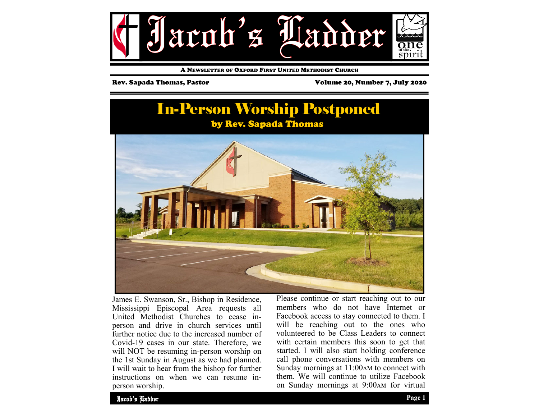

A NEWSLETTER OF OXFORD FIRST UNITED METHODIST CHURCH

Rev. Sapada Thomas, Pastor Volume 20, Number 7, July 2020





James E. Swanson, Sr., Bishop in Residence, Mississippi Episcopal Area requests all United Methodist Churches to cease inperson and drive in church services until further notice due to the increased number of Covid-19 cases in our state. Therefore, we will NOT be resuming in-person worship on the 1st Sunday in August as we had planned. I will wait to hear from the bishop for further instructions on when we can resume inperson worship.

Please continue or start reaching out to our members who do not have Internet or Facebook access to stay connected to them. I will be reaching out to the ones who volunteered to be Class Leaders to connect with certain members this soon to get that started. I will also start holding conference call phone conversations with members on Sunday mornings at  $11:00$  AM to connect with them. We will continue to utilize Facebook on Sunday mornings at 9:00 AM for virtual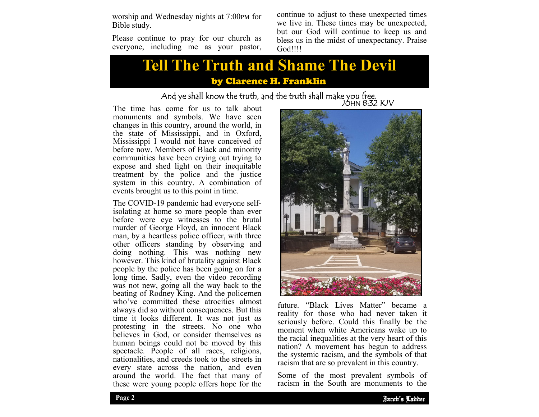worship and Wednesday nights at 7:00pm for Bible study.

Please continue to pray for our church as everyone, including me as your pastor, continue to adjust to these unexpected times we live in. These times may be unexpected, but our God will continue to keep us and bless us in the midst of unexpectancy. Praise God!!!!

## **Tell The Truth and Shame The Devil**  by Clarence H. Franklin

# And ye shall know the truth, and the truth shall make you free.<br>JOHN 8:32 KJV

The time has come for us to talk about monuments and symbols. We have seen changes in this country, around the world, in the state of Mississippi, and in Oxford, Mississippi I would not have conceived of before now. Members of Black and minority communities have been crying out trying to expose and shed light on their inequitable treatment by the police and the justice system in this country. A combination of events brought us to this point in time.

The COVID-19 pandemic had everyone selfisolating at home so more people than ever before were eye witnesses to the brutal murder of George Floyd, an innocent Black man, by a heartless police officer, with three other officers standing by observing and doing nothing. This was nothing new however. This kind of brutality against Black people by the police has been going on for a long time. Sadly, even the video recording was not new, going all the way back to the beating of Rodney King. And the policemen who've committed these atrocities almost always did so without consequences. But this time it looks different. It was not just *us* protesting in the streets. No one who believes in God, or consider themselves as human beings could not be moved by this spectacle. People of all races, religions, nationalities, and creeds took to the streets in every state across the nation, and even around the world. The fact that many of these were young people offers hope for the



are system tracting and the symbols of an future. "Black Lives Matter" became a reality for those who had never taken it seriously before. Could this finally be the moment when white Americans wake up to the racial inequalities at the very heart of this nation? A movement has begun to address the systemic racism, and the symbols of that

Some of the most prevalent symbols of racism in the South are monuments to the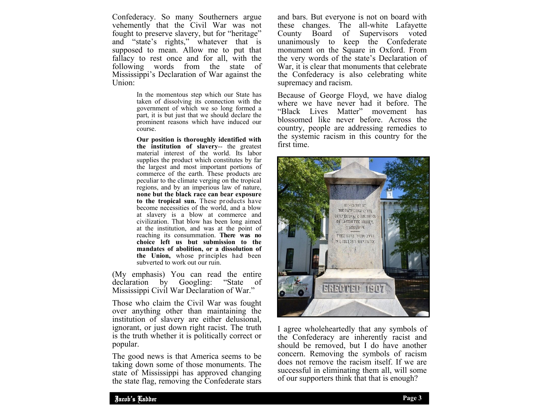Confederacy. So many Southerners argue vehemently that the Civil War was not fought to preserve slavery, but for "heritage" and "state's rights," whatever that is supposed to mean. Allow me to put that fallacy to rest once and for all, with the following words from the state of Mississippi's Declaration of War against the Union:

> In the momentous step which our State has taken of dissolving its connection with the government of which we so long formed a part, it is but just that we should declare the prominent reasons which have induced our course.

> **Our position is thoroughly identified with the institution of slavery**-- the greatest material interest of the world. Its labor supplies the product which constitutes by far the largest and most important portions of commerce of the earth. These products are peculiar to the climate verging on the tropical regions, and by an imperious law of nature, **none but the black race can bear exposure to the tropical sun.** These products have become necessities of the world, and a blow at slavery is a blow at commerce and civilization. That blow has been long aimed at the institution, and was at the point of reaching its consummation. **There was no choice left us but submission to the mandates of abolition, or a dissolution of the Union,** whose principles had been subverted to work out our ruin.

(My emphasis) You can read the entire<br>declaration by Googling: "State of declaration by Googling: "State of Mississippi Civil War Declaration of War."

Those who claim the Civil War was fought over anything other than maintaining the institution of slavery are either delusional, ignorant, or just down right racist. The truth is the truth whether it is politically correct or popular.

The good news is that America seems to be taking down some of those monuments. The state of Mississippi has approved changing the state flag, removing the Confederate stars and bars. But everyone is not on board with these changes. The all-white Lafayette County Board of Supervisors voted unanimously to keep the Confederate monument on the Square in Oxford. From the very words of the state's Declaration of War, it is clear that monuments that celebrate the Confederacy is also celebrating white supremacy and racism.

Because of George Floyd, we have dialog where we have never had it before. The "Black Lives Matter" movement has blossomed like never before. Across the country, people are addressing remedies to the systemic racism in this country for the first time.



I agree wholeheartedly that any symbols of the Confederacy are inherently racist and should be removed, but I do have another concern. Removing the symbols of racism does not remove the racism itself. If we are successful in eliminating them all, will some of our supporters think that that is enough?